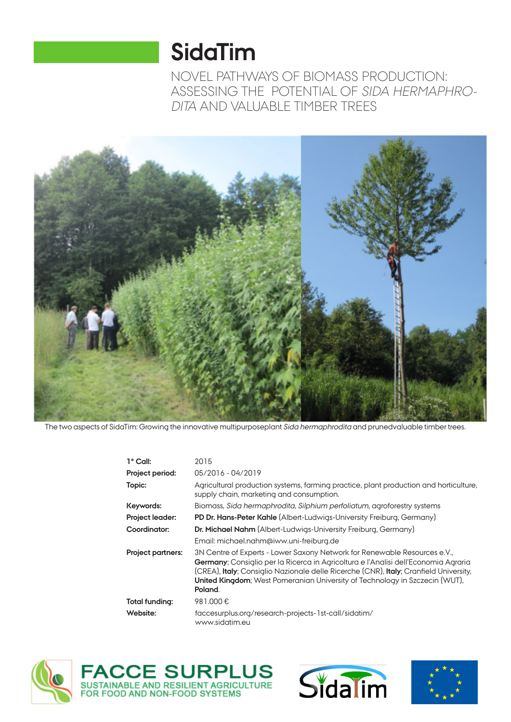# **SidaTim**

NOVEL PATHWAYS OF BIOMASS PRODUCTION: ASSESSING THE POTENTIAL OF SIDA HERMAPHRO-DITA AND VALUABLE TIMBER TREES



The two aspects of SidaTim: Growing the innovative multipurposeplant Sida hermaphrodita and prunedvaluable timber trees.

| $1^{\circ}$ Call:        | 2015                                                                                                                                                                                                                                                                                                                                                       |
|--------------------------|------------------------------------------------------------------------------------------------------------------------------------------------------------------------------------------------------------------------------------------------------------------------------------------------------------------------------------------------------------|
| Project period:          | 05/2016 - 04/2019                                                                                                                                                                                                                                                                                                                                          |
| Topic:                   | Agricultural production systems, farming practice, plant production and horticulture,<br>supply chain, marketing and consumption.                                                                                                                                                                                                                          |
| Keywords:                | Biomass, Sida hermaphrodita, Silphium perfoliatum, agroforestry systems                                                                                                                                                                                                                                                                                    |
| <b>Project leader:</b>   | <b>PD Dr. Hans-Peter Kahle</b> (Albert-Ludwigs-University Freiburg, Germany)                                                                                                                                                                                                                                                                               |
| Coordinator:             | Dr. Michael Nahm (Albert-Ludwigs-University Freiburg, Germany)                                                                                                                                                                                                                                                                                             |
|                          | Email: michael.nahm@iww.uni-freiburg.de                                                                                                                                                                                                                                                                                                                    |
| <b>Project partners:</b> | 3N Centre of Experts - Lower Saxony Network for Renewable Resources e.V.,<br>Germany; Consiglio per la Ricerca in Agricoltura e l'Analisi dell'Economia Agraria<br>(CREA), Italy; Consiglio Nazionale delle Ricerche (CNR), Italy; Cranfield University,<br><b>United Kingdom</b> ; West Pomeranian University of Technology in Szczecin (WUT),<br>Poland. |
| Total funding:           | 981.000€                                                                                                                                                                                                                                                                                                                                                   |
| Website:                 | faccesurplus.org/research-projects-1st-call/sidatim/<br>www.sidatim.eu                                                                                                                                                                                                                                                                                     |